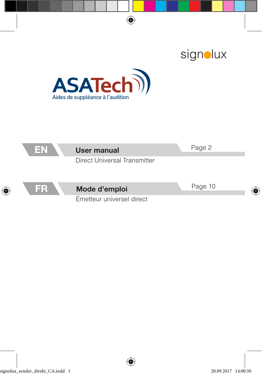



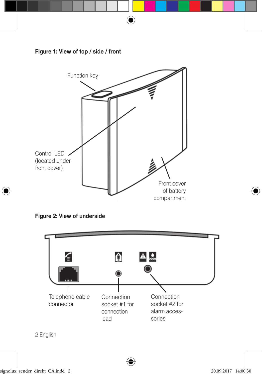#### Figure 1: View of top / side / front



Figure 2: View of underside

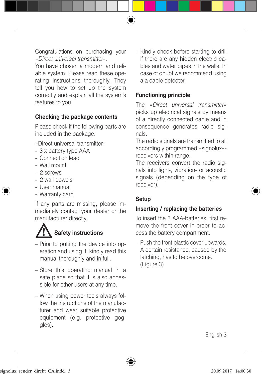Congratulations on purchasing your »*Direct universal transmitter*«.

You have chosen a modern and reliable system. Please read these operating instructions thoroughly. They tell you how to set up the system correctly and explain all the system's features to you.

## Checking the package contents

Please check if the following parts are included in the package:

- »Direct universal transmitter«
- 3 x battery type AAA
- Connection lead
- Wall mount
- 2 screws
- 2 wall dowels
- User manual
- Warranty card

If any parts are missing, please immediately contact your dealer or the manufacturer directly.



# Safety instructions

- Prior to putting the device into operation and using it, kindly read this manual thoroughly and in full.
- Store this operating manual in a safe place so that it is also accessible for other users at any time.
- When using power tools always follow the instructions of the manufacturer and wear suitable protective equipment (e.g. protective goggles).

- Kindly check before starting to drill if there are any hidden electric cables and water pipes in the walls. In case of doubt we recommend using a a cable detector.

## Functioning principle

The »*Direct universal transmitter*« picks up electrical signals by means of a directly connected cable and in consequence generates radio signals.

The radio signals are transmitted to all accordingly programmed »signolux« receivers within range.

The receivers convert the radio signals into light-, vibration- or acoustic signals (depending on the type of receiver).

## Setup

# Inserting / replacing the batteries

To insert the 3 AAA-batteries, first remove the front cover in order to access the battery compartment:

- Push the front plastic cover upwards. A certain resistance, caused by the latching, has to be overcome. (Figure 3)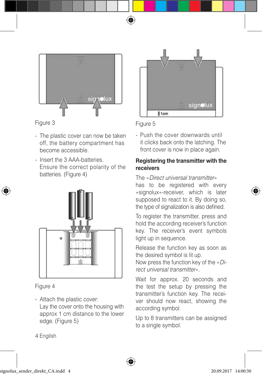

# Figure 3

- The plastic cover can now be taken off, the battery compartment has become accessible.
- Insert the 3 AAA-batteries. Ensure the correct polarity of the batteries. (Figure 4)



# Figure 4

- Attach the plastic cover: Lay the cover onto the housing with approx 1 cm distance to the lower edge. (Figure 5)



# Figure 5

- Push the cover downwards until it clicks back onto the latching. The front cover is now in place again.

# Registering the transmitter with the receivers

The »*Direct universal transmitter*« has to be registered with every »signolux«-receiver, which is later supposed to react to it. By doing so, the type of signalization is also defined.

To register the transmitter, press and hold the according receiver's function key. The receiver's event symbols light up in sequence.

Release the function key as soon as the desired symbol is lit up.

Now press the function key of the »*Direct universal transmitter*«.

Wait for approx. 20 seconds and the test the setup by pressing the transmitter's function key. The receiver should now react, showing the according symbol.

Up to 8 transmitters can be assigned to a single symbol.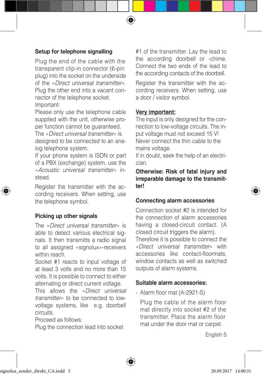# Setup for telephone signalling

Plug the end of the cable with the transparent clip-in connector (6-pin plug) into the socket on the underside of the »*Direct universal transmitter*«. Plug the other end into a vacant connector of the telephone socket. Important:

Please only use the telephone cable supplied with the unit, otherwise proper function cannot be guaranteed. The »*Direct universal transmitter*« is designed to be connected to an analog telephone system.

If your phone system is ISDN or part of a PBX (exchange) system, use the »*Acoustic universal transmitter*« inheats

Register the transmitter with the according receivers. When setting, use the telephone symbol.

## Picking up other signals

The »*Direct universal transmitter*« is able to detect various electrical signals. It then transmitts a radio signal to all assigned »signolux«-receivers within reach

Socket #1 reacts to input voltage of at least 3 volts and no more than 15 volts. It is possible to connect to either alternating or direct current voltage.

This allows the »*Direct universal transmitter*« to be connected to lowvoltage systems, like e.g. doorbell circuits.

Proceed as follows:

Plug the connection lead into socket

#1 of the transmitter. Lay the lead to the according doorbell or -chime. Connect the two ends of the lead to the according contacts of the doorbell.

Register the transmitter with the according receivers. When setting, use a door / visitor symbol.

#### **Very important:**

The input is only designed for the connection to low-voltage circuits. The input voltage must not exceed 15 V! Never connect the thin cable to the mains voltage.

If in doubt, seek the help of an electrician.

#### **Otherwise: Risk of fatal injury and irreparable damage to the transmitter!**

#### Connecting alarm accessories

Connection socket #2 is intended for the connection of alarm accessories having a closed-circuit contact. (A closed circuit triggers the alarm).

Therefore it is possible to connect the »*Direct universal transmitter*« with accessories like contact-floormats, window contacts as well as switched outputs of alarm systems.

## **Suitable alarm accessories:**

- Alarm floor mat (A-2921-S)

Plug the cable of the alarm floor mat directly into socket #2 of the transmitter. Place the alarm floor mat under the door mat or carpet.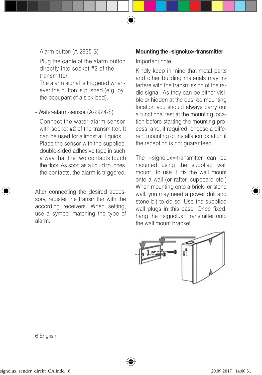#### - Alarm button (A-2935-S)

Plug the cable of the alarm button directly into socket #2 of the transmitter.

The alarm signal is triggered whenever the button is pushed (e.g. by the occupant of a sick-bed).

## - Water-alarm-sensor (A-2924-S)

Connect the water alarm sensor with socket #2 of the transmitter. It can be used for allmost all liquids. Place the sensor with the supplied double-sided adhesive tape in such a way that the two contacts touch the floor. As soon as a liquid touches the contacts, the alarm is triggered.

After connecting the desired accessory, register the transmitter with the according receivers. When setting, use a symbol matching the type of alarm.

# Mounting the »signolux«-transmitter

#### Important note:

Kindly keep in mind that metal parts and other building materials may interfere with the transmission of the radio signal. As they can be either visible or hidden at the desired mounting location you should always carry out a functional test at the mounting location before starting the mounting process, and, if required, choose a different mounting or installation location if the reception is not quaranteed.

The »signolux«-transmitter can be mounted using the supplied wall mount. To use it, fix the wall mount onto a wall (or rafter, cupboard etc.) When mounting onto a brick- or stone wall, you may need a power drill and stone bit to do so. Use the supplied wall plugs in this case. Once fixed, hang the »signolux« transmitter onto the wall mount bracket.

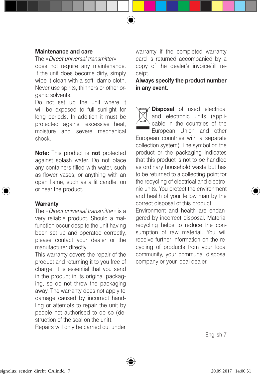#### Maintenance and care

The »*Direct universal transmitter*« does not require any maintenance. If the unit does become dirty, simply wipe it clean with a soft, damp cloth. Never use spirits, thinners or other organic solvents.

Do not set up the unit where it will be exposed to full sunlight for long periods. In addition it must be protected against excessive heat, moisture and severe mechanical shock.

Note: This product is not protected against splash water. Do not place any containers filled with water, such as flower vases, or anything with an open flame, such as a lit candle, on or near the product.

#### **Warranty**

The »*Direct universal transmitter*« is a very reliable product. Should a malfunction occur despite the unit having been set up and operated correctly, please contact your dealer or the manufacturer directly.

This warranty covers the repair of the product and returning it to you free of charge. It is essential that you send in the product in its original packaging, so do not throw the packaging away. The warranty does not apply to damage caused by incorrect handling or attempts to repair the unit by people not authorised to do so (destruction of the seal on the unit).

Repairs will only be carried out under

warranty if the completed warranty card is returned accompanied by a copy of the dealer's invoice/till receipt.

#### Always specify the product number in any event.

 $\angle$  **Disposal** of used electrical and electronic units (appli cable in the countries of the European Union and other European countries with a separate collection system). The symbol on the product or the packaging indicates that this product is not to be handled as ordinary household waste but has to be returned to a collecting point for the recycling of electrical and electronic units. You protect the environment and health of your fellow man by the correct disposal of this product.

Environment and health are endangered by incorrect disposal. Material recycling helps to reduce the consumption of raw material. You will receive further information on the recycling of products from your local community, your communal disposal company or your local dealer.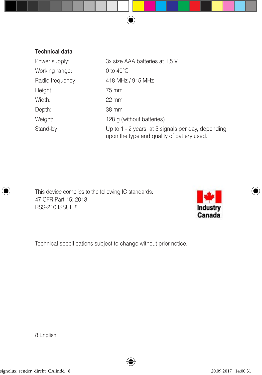# Technical data

| Power supply:    | 3x size AAA batteries at 1,5 V                                                                   |
|------------------|--------------------------------------------------------------------------------------------------|
| Working range:   | 0 to $40^{\circ}$ C                                                                              |
| Radio frequency: | 418 MHz / 915 MHz                                                                                |
| Height:          | 75 mm                                                                                            |
| Width:           | $22 \text{ mm}$                                                                                  |
| Depth:           | 38 mm                                                                                            |
| Weight:          | 128 g (without batteries)                                                                        |
| Stand-by:        | Up to 1 - 2 years, at 5 signals per day, depending<br>upon the type and quality of battery used. |

This device complies to the following IC standards: 47 CFR Part 15; 2013 RSS-210 ISSUE 8



Technical specifications subject to change without prior notice.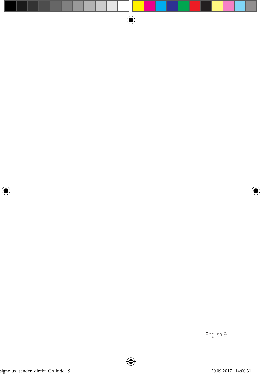English 9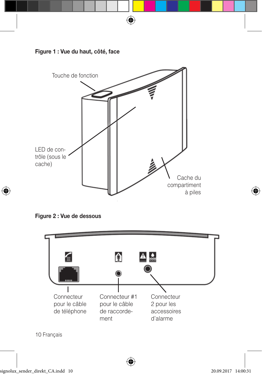## Figure 1 : Vue du haut, côté, face



Figure 2 : Vue de dessous

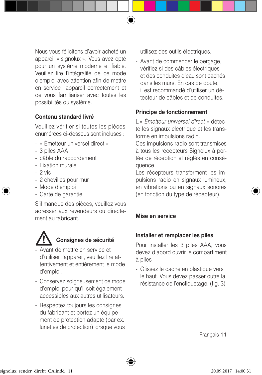Nous vous félicitons d'avoir acheté un appareil « signolux ». Vous avez opté pour un système moderne et fiable. Veuillez lire l'intégralité de ce mode d'emploi avec attention afin de mettre en service l'appareil correctement et de vous familiariser avec toutes les possibilités du système.

#### Contenu standard livré

Veuillez vérifier si toutes les pièces énumérées ci-dessous sont incluses :

- « Émetteur universel direct »
- 3 piles AAA
- câble du raccordement
- Fixation murale
- 2 vis
- 2 chevilles pour mur
- Mode d'emploi
- Carte de garantie

S'il manque des pièces, veuillez vous adresser aux revendeurs ou directement au fabricant.



# Consignes de sécurité

- Avant de mettre en service et d'utiliser l'appareil, veuillez lire attentivement et entièrement le mode d'emploi.
- Conservez soigneusement ce mode d'emploi pour qu'il soit également accessibles aux autres utilisateurs.
- Respectez toujours les consignes du fabricant et portez un équipement de protection adapté (par ex. lunettes de protection) lorsque vous

utilisez des outils électriques.

- Avant de commencer le perçage, vérifiez si des câbles électriques et des conduites d'eau sont cachés dans les murs. En cas de doute, il est recommandé d'utiliser un détecteur de câbles et de conduites.

# Principe de fonctionnement

L'« *Émetteur universel direct* » détecte les signaux electrique et les transforme en impulsions radio.

Ces impulsions radio sont transmises à tous les récepteurs Signolux à portée de réception et réglés en conséquence.

Les récepteurs transforment les impulsions radio en signaux lumineux, en vibrations ou en signaux sonores (en fonction du type de récepteur).

## Mise en service

## Installer et remplacer les piles

Pour installer les 3 piles AAA, vous devez d'abord ouvrir le compartiment à piles :

- Glissez le cache en plastique vers le haut. Vous devez passer outre la résistance de l'encliquetage. (fig. 3)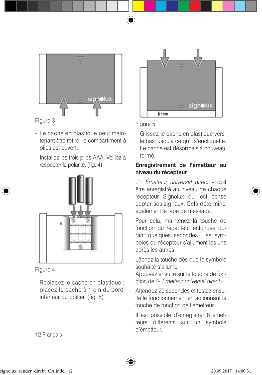

# Figure 3

- Le cache en plastique peut maintenant être retiré, le compartiment à piles est ouvert.
- Installez les trois piles AAA. Veillez à respecter la polarité. (fig. 4)



Figure 4

- Replacez le cache en plastique : placez le cache à 1 cm du bord inférieur du boîtier. (fig. 5)



# Figure 5

- Glissez le cache en plastique vers le bas jusqu'à ce qu'il s'encliquette. Le cache est désormais à nouveau fermé.

## Enregistrement de l'émetteur au niveau du récepteur

L'« *Émetteur universel direct* » doit être enregistré au niveau de chaque récepteur Signolux qui est censé capter ses signaux. Cela détermine également le type de message.

Pour cela, maintenez la touche de fonction du récepteur enfoncée durant quelques secondes. Les symboles du récepteur s'allument les uns après les autres.

Lâchez la touche dès que le symbole souhaité s'allume.

Appuyez ensuite sur la touche de fonction de l'« *Émetteur universel direct* ».

Attendez 20 secondes et testez ensuite le fonctionnement en actionnant la touche de fonction de l'émetteur.

Il est possible d'enregistrer 8 émetteurs différents sur un symbole d'émetteur.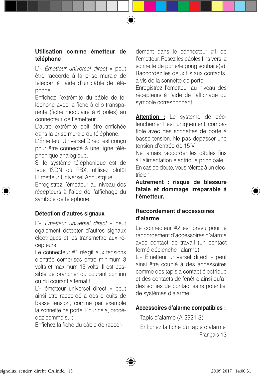#### Utilisation comme émetteur de téléphone

L'« *Émetteur universel direct* » peut être raccordé à la prise murale de télécom à l'aide d'un câble de téléphone.

Enfichez l'extrémité du câble de téléphone avec la fiche à clip transparente (fiche modulaire à 6 pôles) au connecteur de l'émetteur.

L'autre extrémité doit être enfichée dans la prise murale du téléphone.

L'Émetteur Universel Direct est conçu pour être connecté à une ligne téléphonique analogique.

Si le système téléphonique est de type ISDN ou PBX, utilisez plutôt l'Émetteur Universel Acoustaiue.

Enregistrez l'émetteur au niveau des récepteurs à l'aide de l'affichage du symbole de téléphone.

#### Détection d'autres signaux

L'« *Émetteur universel direct* » peut également détecter d'autres signaux électriques et les transmettre aux récepteurs.

Le connecteur #1 réagit aux tensions d'entrée comprises entre minimum 3 volts et maximum 15 volts. Il est possible de brancher du courant continu ou du courant alternatif.

L'« émetteur universel direct » peut ainsi être raccordé à des circuits de basse tension, comme par exemple la sonnette de porte. Pour cela, procédez comme suit :

Enfichez la fiche du câble de raccor-

dement dans le connecteur #1 de l'émetteur. Posez les câbles fins vers la sonnette de porte/le gong souhaité(e). Raccordez les deux fils aux contacts à vis de la sonnette de porte.

Enregistrez l'émetteur au niveau des récepteurs à l'aide de l'affichage du symbole correspondant.

**Attention :** Le système de déclenchement est uniquement compatible avec des sonnettes de porte à basse tension. Ne pas dépasser une tension d'entrée de 15 V !

Ne jamais raccorder les câbles fins à l'alimentation électrique principale! En cas de doute, vous référez à un électricien.

Autrement : risque de blessure fatale et dommage irréparable à l'émetteur.

#### Raccordement d'accessoires d'alarme

Le connecteur #2 est prévu pour le raccordement d'accessoires d'alarme avec contact de travail (un contact fermé déclenche l'alarme).

L'« Émetteur universel direct » peut ainsi être couplé à des accessoires comme des tapis à contact électrique et des contacts de fenêtre ainsi qu'à des sorties de contact sans potentiel de systèmes d'alarme.

## **Accessoires d'alarme compatibles :**

- Tapis d'alarme (A-2921-S)

Français 13 Enfichez la fiche du tapis d'alarme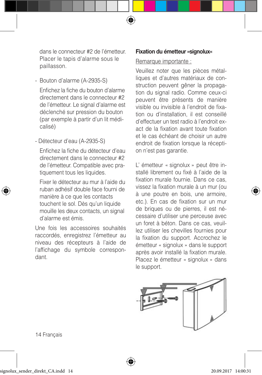dans le connecteur #2 de l'émetteur. Placer le tapis d'alarme sous le paillasson.

- Bouton d'alarme (A-2935-S)

Enfichez la fiche du bouton d'alarme directement dans le connecteur #2 de l'émetteur. Le signal d'alarme est déclenché sur pression du bouton (par exemple à partir d'un lit médicalisé)

- Détecteur d'eau (A-2935-S)

Enfichez la fiche du détecteur d'eau directement dans le connecteur #2 de l'émetteur. Compatible avec pratiquement tous les liquides.

Fixer le détecteur au mur à l'aide du ruban adhésif double face fourni de manière à ce que les contacts touchent le sol. Dès qu'un liquide mouille les deux contacts, un signal d'alarme est émis.

Une fois les accessoires souhaités raccordés, enregistrez l'émetteur au niveau des récepteurs à l'aide de l'affichage du symbole correspondant.

### Fixation du émetteur »signolux«

#### Remarque importante :

Veuillez noter que les pièces métalliques et d'autres matériaux de construction peuvent gêner la propagation du signal radio. Comme ceux-ci peuvent être présents de manière visible ou invisible à l'endroit de fixation ou d'installation, il est conseillé d'effectuer un test radio à l'endroit exact de la fixation avant toute fixation et le cas échéant de choisir un autre endroit de fixation lorsque la réception n'est pas garantie.

L' émetteur « signolux » peut être installé librement ou fixé à l'aide de la fixation murale fournie. Dans ce cas vissez la fixation murale à un mur (ou à une poutre en bois, une armoire, etc.). En cas de fixation sur un mur de briques ou de pierres, il est nécessaire d'utiliser une perceuse avec un foret à béton. Dans ce cas, veuillez utiliser les chevilles fournies pour la fixation du support. Accrochez le émetteur « signolux » dans le support après avoir installé la fixation murale. Placez le émetteur « signolux » dans le support.

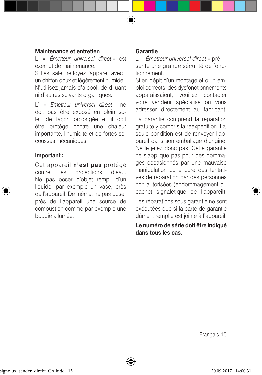#### Maintenance et entretien

L' « *Émetteur universel direct* » est exempt de maintenance.

S'il est sale, nettoyez l'appareil avec un chiffon doux et légèrement humide. N'utilisez jamais d'alcool, de diluant ni d'autres solvants organiques.

L' « *Émetteur universel direct* » ne doit pas être exposé en plein soleil de façon prolongée et il doit être protégé contre une chaleur importante, l'humidité et de fortes secousses mécaniques.

#### Important :

Cet appareil **n'est pas** protégé<br>contre les projections d'eau. contre les projections d'eau. Ne pas poser d'objet rempli d'un liquide, par exemple un vase, près de l'appareil. De même, ne pas poser près de l'appareil une source de combustion comme par exemple une bougie allumée.

#### Garantie

L' « *Émetteur universel direct* » présente une grande sécurité de fonctionnement.

Si en dépit d'un montage et d'un emploi corrects, des dysfonctionnements apparaissaient, veuillez contacter votre vendeur spécialisé ou vous adresser directement au fabricant.

La garantie comprend la réparation gratuite y compris la réexpédition. La seule condition est de renvoyer l'appareil dans son emballage d'origine. Ne le jetez donc pas. Cette garantie ne s'applique pas pour des dommages occasionnés par une mauvaise manipulation ou encore des tentatives de réparation par des personnes non autorisées (endommagement du cachet signalétique de l'appareil).

Les réparations sous garantie ne sont exécutées que si la carte de garantie dûment remplie est jointe à l'appareil.

Le numéro de série doit être indiqué dans tous les cas.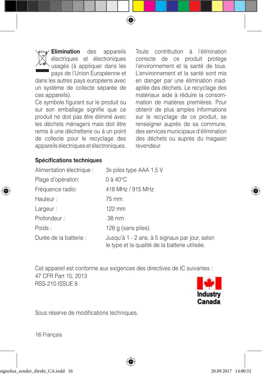**Elimination** des appareils électriques et électroniques usagés (à appliquer dans les pays de l'Union Européenne et

dans les autres pays européens avec un système de collecte séparée de ces appareils).

Ce symbole figurant sur le produit ou sur son emballage signifie que ce produit ne doit pas être éliminé avec les déchets ménagers mais doit être remis à une déchetterie ou à un point de collecte pour le recyclage des appareils électriques et électroniques. Toute contribution à l'élimination correcte de ce produit protège l'environnement et la santé de tous. L'environnement et la santé sont mis en danger par une élimination inadaptée des déchets. Le recyclage des matériaux aide à réduire la consommation de matières premières. Pour obtenir de plus amples informations sur le recyclage de ce produit, se renseigner auprès de sa commune, des services municipaux d'élimination des déchets ou auprès du magasin revendeur.

#### Spécifications techniques

| Alimentation électrique : | 3x piles type AAA 1,5 V                                                                          |
|---------------------------|--------------------------------------------------------------------------------------------------|
| Plage d'opération:        | $0$ à $40^{\circ}$ C                                                                             |
| Fréquence radio:          | 418 MHz / 915 MHz                                                                                |
| Hauteur:                  | 75 mm                                                                                            |
| Largeur:                  | 122 mm                                                                                           |
| Profondeur:               | 38 mm                                                                                            |
| Poids:                    | 128 g (sans piles)                                                                               |
| Durée de la batterie :    | Jusqu'à 1 - 2 ans, à 5 signaux par jour, selon<br>le type et la qualité de la batterie utilisée. |

Cet appareil est conforme aux exigences des directives de IC suivantes : 47 CFR Part 15; 2013 RSS-210 ISSUE 8



Sous réserve de modifications techniques.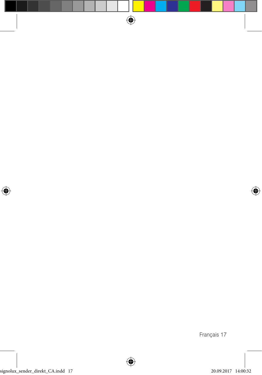Français 17